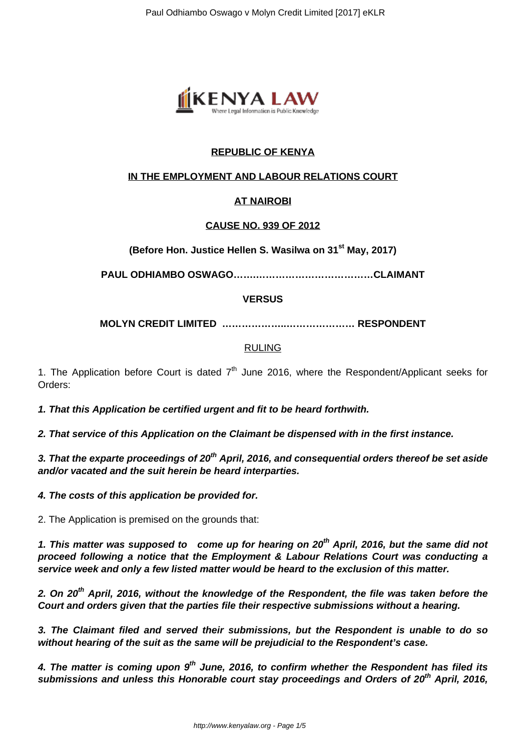

# **REPUBLIC OF KENYA**

## **IN THE EMPLOYMENT AND LABOUR RELATIONS COURT**

## **AT NAIROBI**

### **CAUSE NO. 939 OF 2012**

**(Before Hon. Justice Hellen S. Wasilwa on 31st May, 2017)**

**PAUL ODHIAMBO OSWAGO…….………………………………CLAIMANT**

### **VERSUS**

**MOLYN CREDIT LIMITED ………………..………………… RESPONDENT**

#### RULING

1. The Application before Court is dated  $7<sup>th</sup>$  June 2016, where the Respondent/Applicant seeks for Orders:

**1. That this Application be certified urgent and fit to be heard forthwith.**

**2. That service of this Application on the Claimant be dispensed with in the first instance.**

**3. That the exparte proceedings of 20th April, 2016, and consequential orders thereof be set aside and/or vacated and the suit herein be heard interparties.**

**4. The costs of this application be provided for.**

2. The Application is premised on the grounds that:

**1. This matter was supposed to come up for hearing on 20th April, 2016, but the same did not proceed following a notice that the Employment & Labour Relations Court was conducting a service week and only a few listed matter would be heard to the exclusion of this matter.**

**2. On 20th April, 2016, without the knowledge of the Respondent, the file was taken before the Court and orders given that the parties file their respective submissions without a hearing.**

**3. The Claimant filed and served their submissions, but the Respondent is unable to do so without hearing of the suit as the same will be prejudicial to the Respondent's case.**

**4. The matter is coming upon 9th June, 2016, to confirm whether the Respondent has filed its submissions and unless this Honorable court stay proceedings and Orders of 20th April, 2016,**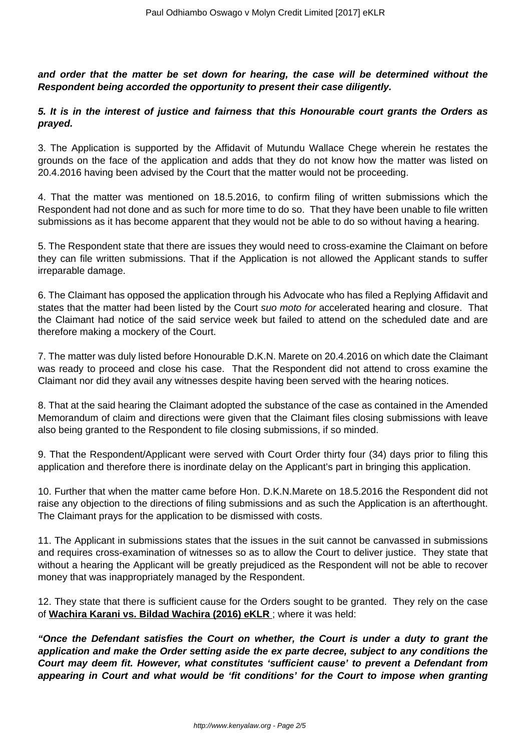**and order that the matter be set down for hearing, the case will be determined without the Respondent being accorded the opportunity to present their case diligently.**

## **5. It is in the interest of justice and fairness that this Honourable court grants the Orders as prayed.**

3. The Application is supported by the Affidavit of Mutundu Wallace Chege wherein he restates the grounds on the face of the application and adds that they do not know how the matter was listed on 20.4.2016 having been advised by the Court that the matter would not be proceeding.

4. That the matter was mentioned on 18.5.2016, to confirm filing of written submissions which the Respondent had not done and as such for more time to do so. That they have been unable to file written submissions as it has become apparent that they would not be able to do so without having a hearing.

5. The Respondent state that there are issues they would need to cross-examine the Claimant on before they can file written submissions. That if the Application is not allowed the Applicant stands to suffer irreparable damage.

6. The Claimant has opposed the application through his Advocate who has filed a Replying Affidavit and states that the matter had been listed by the Court suo moto for accelerated hearing and closure. That the Claimant had notice of the said service week but failed to attend on the scheduled date and are therefore making a mockery of the Court.

7. The matter was duly listed before Honourable D.K.N. Marete on 20.4.2016 on which date the Claimant was ready to proceed and close his case. That the Respondent did not attend to cross examine the Claimant nor did they avail any witnesses despite having been served with the hearing notices.

8. That at the said hearing the Claimant adopted the substance of the case as contained in the Amended Memorandum of claim and directions were given that the Claimant files closing submissions with leave also being granted to the Respondent to file closing submissions, if so minded.

9. That the Respondent/Applicant were served with Court Order thirty four (34) days prior to filing this application and therefore there is inordinate delay on the Applicant's part in bringing this application.

10. Further that when the matter came before Hon. D.K.N.Marete on 18.5.2016 the Respondent did not raise any objection to the directions of filing submissions and as such the Application is an afterthought. The Claimant prays for the application to be dismissed with costs.

11. The Applicant in submissions states that the issues in the suit cannot be canvassed in submissions and requires cross-examination of witnesses so as to allow the Court to deliver justice. They state that without a hearing the Applicant will be greatly prejudiced as the Respondent will not be able to recover money that was inappropriately managed by the Respondent.

12. They state that there is sufficient cause for the Orders sought to be granted. They rely on the case of **Wachira Karani vs. Bildad Wachira (2016) eKLR** ; where it was held:

**"Once the Defendant satisfies the Court on whether, the Court is under a duty to grant the application and make the Order setting aside the ex parte decree, subject to any conditions the Court may deem fit. However, what constitutes 'sufficient cause' to prevent a Defendant from appearing in Court and what would be 'fit conditions' for the Court to impose when granting**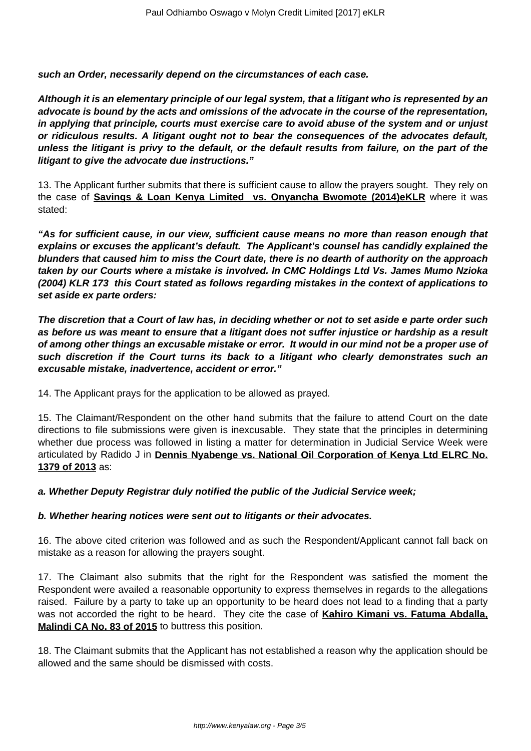**such an Order, necessarily depend on the circumstances of each case.**

**Although it is an elementary principle of our legal system, that a litigant who is represented by an advocate is bound by the acts and omissions of the advocate in the course of the representation, in applying that principle, courts must exercise care to avoid abuse of the system and or unjust or ridiculous results. A litigant ought not to bear the consequences of the advocates default, unless the litigant is privy to the default, or the default results from failure, on the part of the litigant to give the advocate due instructions."**

13. The Applicant further submits that there is sufficient cause to allow the prayers sought. They rely on the case of **Savings & Loan Kenya Limited vs. Onyancha Bwomote (2014)eKLR** where it was stated:

**"As for sufficient cause, in our view, sufficient cause means no more than reason enough that explains or excuses the applicant's default. The Applicant's counsel has candidly explained the blunders that caused him to miss the Court date, there is no dearth of authority on the approach taken by our Courts where a mistake is involved. In CMC Holdings Ltd Vs. James Mumo Nzioka (2004) KLR 173 this Court stated as follows regarding mistakes in the context of applications to set aside ex parte orders:**

**The discretion that a Court of law has, in deciding whether or not to set aside e parte order such as before us was meant to ensure that a litigant does not suffer injustice or hardship as a result of among other things an excusable mistake or error. It would in our mind not be a proper use of such discretion if the Court turns its back to a litigant who clearly demonstrates such an excusable mistake, inadvertence, accident or error."**

14. The Applicant prays for the application to be allowed as prayed.

15. The Claimant/Respondent on the other hand submits that the failure to attend Court on the date directions to file submissions were given is inexcusable. They state that the principles in determining whether due process was followed in listing a matter for determination in Judicial Service Week were articulated by Radido J in **Dennis Nyabenge vs. National Oil Corporation of Kenya Ltd ELRC No. 1379 of 2013** as:

**a. Whether Deputy Registrar duly notified the public of the Judicial Service week;**

### **b. Whether hearing notices were sent out to litigants or their advocates.**

16. The above cited criterion was followed and as such the Respondent/Applicant cannot fall back on mistake as a reason for allowing the prayers sought.

17. The Claimant also submits that the right for the Respondent was satisfied the moment the Respondent were availed a reasonable opportunity to express themselves in regards to the allegations raised. Failure by a party to take up an opportunity to be heard does not lead to a finding that a party was not accorded the right to be heard. They cite the case of **Kahiro Kimani vs. Fatuma Abdalla, Malindi CA No. 83 of 2015** to buttress this position.

18. The Claimant submits that the Applicant has not established a reason why the application should be allowed and the same should be dismissed with costs.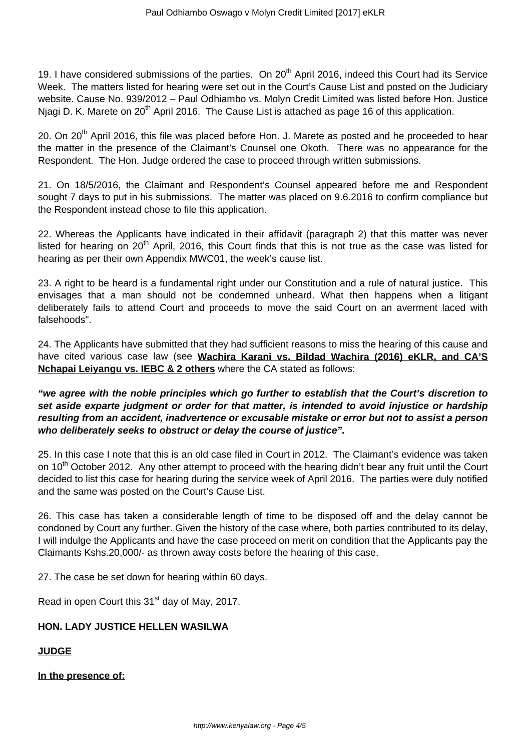19. I have considered submissions of the parties. On 20<sup>th</sup> April 2016, indeed this Court had its Service Week. The matters listed for hearing were set out in the Court's Cause List and posted on the Judiciary website. Cause No. 939/2012 – Paul Odhiambo vs. Molyn Credit Limited was listed before Hon. Justice Njagi D. K. Marete on  $20<sup>th</sup>$  April 2016. The Cause List is attached as page 16 of this application.

20. On 20<sup>th</sup> April 2016, this file was placed before Hon. J. Marete as posted and he proceeded to hear the matter in the presence of the Claimant's Counsel one Okoth. There was no appearance for the Respondent. The Hon. Judge ordered the case to proceed through written submissions.

21. On 18/5/2016, the Claimant and Respondent's Counsel appeared before me and Respondent sought 7 days to put in his submissions. The matter was placed on 9.6.2016 to confirm compliance but the Respondent instead chose to file this application.

22. Whereas the Applicants have indicated in their affidavit (paragraph 2) that this matter was never listed for hearing on 20<sup>th</sup> April, 2016, this Court finds that this is not true as the case was listed for hearing as per their own Appendix MWC01, the week's cause list.

23. A right to be heard is a fundamental right under our Constitution and a rule of natural justice. This envisages that a man should not be condemned unheard. What then happens when a litigant deliberately fails to attend Court and proceeds to move the said Court on an averment laced with falsehoods".

24. The Applicants have submitted that they had sufficient reasons to miss the hearing of this cause and have cited various case law (see **Wachira Karani vs. Bildad Wachira (2016) eKLR, and CA'S Nchapai Leiyangu vs. IEBC & 2 others** where the CA stated as follows:

**"we agree with the noble principles which go further to establish that the Court's discretion to set aside exparte judgment or order for that matter, is intended to avoid injustice or hardship resulting from an accident, inadvertence or excusable mistake or error but not to assist a person who deliberately seeks to obstruct or delay the course of justice".**

25. In this case I note that this is an old case filed in Court in 2012. The Claimant's evidence was taken on 10<sup>th</sup> October 2012. Any other attempt to proceed with the hearing didn't bear any fruit until the Court decided to list this case for hearing during the service week of April 2016. The parties were duly notified and the same was posted on the Court's Cause List.

26. This case has taken a considerable length of time to be disposed off and the delay cannot be condoned by Court any further. Given the history of the case where, both parties contributed to its delay, I will indulge the Applicants and have the case proceed on merit on condition that the Applicants pay the Claimants Kshs.20,000/- as thrown away costs before the hearing of this case.

27. The case be set down for hearing within 60 days.

Read in open Court this 31<sup>st</sup> day of May, 2017.

## **HON. LADY JUSTICE HELLEN WASILWA**

### **JUDGE**

**In the presence of:**